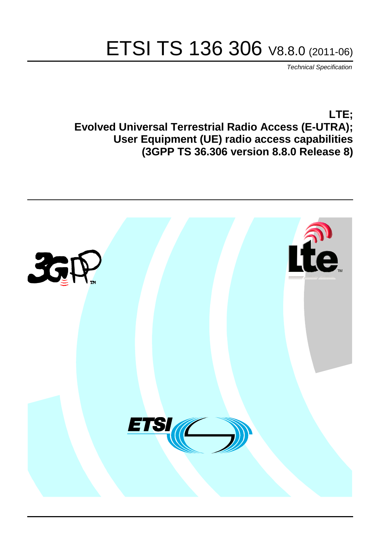# ETSI TS 136 306 V8.8.0 (2011-06)

*Technical Specification*

**LTE; Evolved Universal Terrestrial Radio Access (E-UTRA); User Equipment (UE) radio access capabilities (3GPP TS 36.306 version 8.8.0 Release 8)**

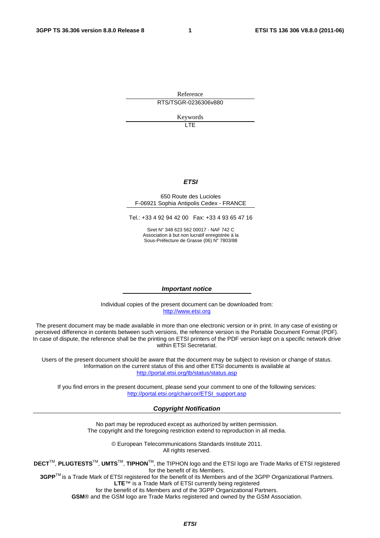Reference RTS/TSGR-0236306v880

Keywords

LTE

#### *ETSI*

#### 650 Route des Lucioles F-06921 Sophia Antipolis Cedex - FRANCE

Tel.: +33 4 92 94 42 00 Fax: +33 4 93 65 47 16

Siret N° 348 623 562 00017 - NAF 742 C Association à but non lucratif enregistrée à la Sous-Préfecture de Grasse (06) N° 7803/88

#### *Important notice*

Individual copies of the present document can be downloaded from: [http://www.etsi.org](http://www.etsi.org/)

The present document may be made available in more than one electronic version or in print. In any case of existing or perceived difference in contents between such versions, the reference version is the Portable Document Format (PDF). In case of dispute, the reference shall be the printing on ETSI printers of the PDF version kept on a specific network drive within ETSI Secretariat.

Users of the present document should be aware that the document may be subject to revision or change of status. Information on the current status of this and other ETSI documents is available at <http://portal.etsi.org/tb/status/status.asp>

If you find errors in the present document, please send your comment to one of the following services: [http://portal.etsi.org/chaircor/ETSI\\_support.asp](http://portal.etsi.org/chaircor/ETSI_support.asp)

#### *Copyright Notification*

No part may be reproduced except as authorized by written permission. The copyright and the foregoing restriction extend to reproduction in all media.

> © European Telecommunications Standards Institute 2011. All rights reserved.

**DECT**TM, **PLUGTESTS**TM, **UMTS**TM, **TIPHON**TM, the TIPHON logo and the ETSI logo are Trade Marks of ETSI registered for the benefit of its Members.

**3GPP**TM is a Trade Mark of ETSI registered for the benefit of its Members and of the 3GPP Organizational Partners. **LTE**™ is a Trade Mark of ETSI currently being registered

for the benefit of its Members and of the 3GPP Organizational Partners.

**GSM**® and the GSM logo are Trade Marks registered and owned by the GSM Association.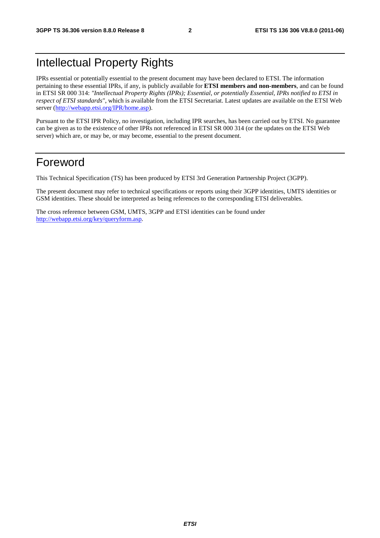# Intellectual Property Rights

IPRs essential or potentially essential to the present document may have been declared to ETSI. The information pertaining to these essential IPRs, if any, is publicly available for **ETSI members and non-members**, and can be found in ETSI SR 000 314: *"Intellectual Property Rights (IPRs); Essential, or potentially Essential, IPRs notified to ETSI in respect of ETSI standards"*, which is available from the ETSI Secretariat. Latest updates are available on the ETSI Web server [\(http://webapp.etsi.org/IPR/home.asp](http://webapp.etsi.org/IPR/home.asp)).

Pursuant to the ETSI IPR Policy, no investigation, including IPR searches, has been carried out by ETSI. No guarantee can be given as to the existence of other IPRs not referenced in ETSI SR 000 314 (or the updates on the ETSI Web server) which are, or may be, or may become, essential to the present document.

# Foreword

This Technical Specification (TS) has been produced by ETSI 3rd Generation Partnership Project (3GPP).

The present document may refer to technical specifications or reports using their 3GPP identities, UMTS identities or GSM identities. These should be interpreted as being references to the corresponding ETSI deliverables.

The cross reference between GSM, UMTS, 3GPP and ETSI identities can be found under <http://webapp.etsi.org/key/queryform.asp>.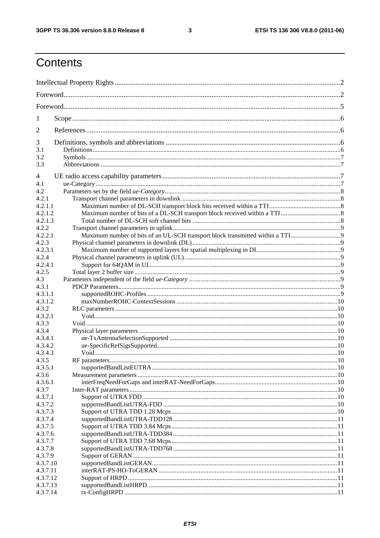$\mathbf{3}$ 

# Contents

| 1                  |  |  |  |  |
|--------------------|--|--|--|--|
| $\overline{2}$     |  |  |  |  |
| 3                  |  |  |  |  |
| 3.1                |  |  |  |  |
| 3.2                |  |  |  |  |
| 3.3                |  |  |  |  |
| 4                  |  |  |  |  |
| 4.1                |  |  |  |  |
| 4.2                |  |  |  |  |
| 4.2.1              |  |  |  |  |
| 4.2.1.1            |  |  |  |  |
| 4.2.1.2            |  |  |  |  |
| 4.2.1.3            |  |  |  |  |
| 4.2.2              |  |  |  |  |
| 4.2.2.1            |  |  |  |  |
| 4.2.3              |  |  |  |  |
| 4.2.3.1            |  |  |  |  |
| 4.2.4              |  |  |  |  |
| 4.2.4.1            |  |  |  |  |
| 4.2.5              |  |  |  |  |
| 4.3                |  |  |  |  |
| 4.3.1              |  |  |  |  |
| 4.3.1.1            |  |  |  |  |
| 4.3.1.2            |  |  |  |  |
| 4.3.2              |  |  |  |  |
| 4.3.2.1            |  |  |  |  |
| 4.3.3              |  |  |  |  |
| 4.3.4              |  |  |  |  |
|                    |  |  |  |  |
| 4.3.4.1<br>4.3.4.2 |  |  |  |  |
|                    |  |  |  |  |
| 4.3.4.3            |  |  |  |  |
| 4.3.5              |  |  |  |  |
| 4.3.5.1            |  |  |  |  |
| 4.3.6              |  |  |  |  |
| 4.3.6.1            |  |  |  |  |
| 4.3.7              |  |  |  |  |
| 4.3.7.1            |  |  |  |  |
| 4.3.7.2            |  |  |  |  |
| 4.3.7.3            |  |  |  |  |
| 4.3.7.4            |  |  |  |  |
| 4.3.7.5            |  |  |  |  |
| 4.3.7.6            |  |  |  |  |
| 4.3.7.7            |  |  |  |  |
| 4.3.7.8            |  |  |  |  |
| 4.3.7.9            |  |  |  |  |
| 4.3.7.10           |  |  |  |  |
| 4.3.7.11           |  |  |  |  |
| 4.3.7.12           |  |  |  |  |
| 4.3.7.13           |  |  |  |  |
| 4.3.7.14           |  |  |  |  |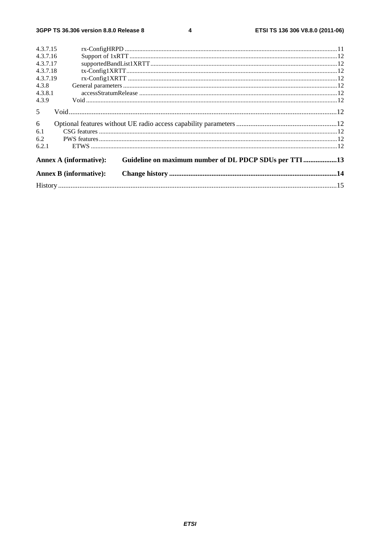$\overline{\mathbf{4}}$ 

| 4.3.7.15                      |                                                        |  |
|-------------------------------|--------------------------------------------------------|--|
| 4.3.7.16                      |                                                        |  |
| 4.3.7.17                      |                                                        |  |
| 4.3.7.18                      |                                                        |  |
| 4.3.7.19                      |                                                        |  |
| 4.3.8                         |                                                        |  |
| 4.3.8.1                       |                                                        |  |
| 4.3.9                         |                                                        |  |
| $5\overline{)}$               |                                                        |  |
| 6                             |                                                        |  |
| 6.1                           |                                                        |  |
| 6.2                           |                                                        |  |
| 6.2.1                         |                                                        |  |
| <b>Annex A (informative):</b> | Guideline on maximum number of DL PDCP SDUs per TTI 13 |  |
| <b>Annex B (informative):</b> |                                                        |  |
|                               |                                                        |  |
|                               |                                                        |  |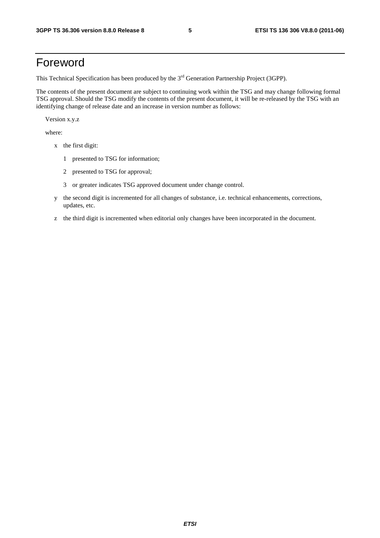# Foreword

This Technical Specification has been produced by the 3<sup>rd</sup> Generation Partnership Project (3GPP).

The contents of the present document are subject to continuing work within the TSG and may change following formal TSG approval. Should the TSG modify the contents of the present document, it will be re-released by the TSG with an identifying change of release date and an increase in version number as follows:

Version x.y.z

where:

- x the first digit:
	- 1 presented to TSG for information;
	- 2 presented to TSG for approval;
	- 3 or greater indicates TSG approved document under change control.
- y the second digit is incremented for all changes of substance, i.e. technical enhancements, corrections, updates, etc.
- z the third digit is incremented when editorial only changes have been incorporated in the document.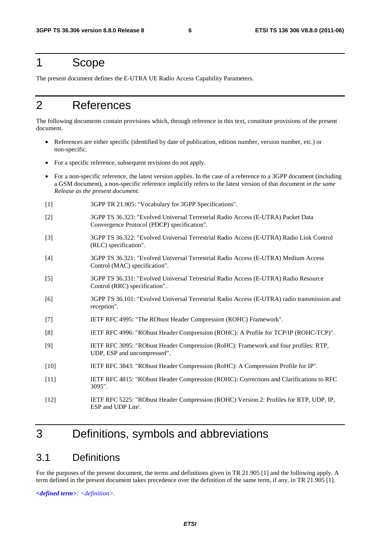# 1 Scope

The present document defines the E-UTRA UE Radio Access Capability Parameters.

# 2 References

The following documents contain provisions which, through reference in this text, constitute provisions of the present document.

- References are either specific (identified by date of publication, edition number, version number, etc.) or non-specific.
- For a specific reference, subsequent revisions do not apply.
- For a non-specific reference, the latest version applies. In the case of a reference to a 3GPP document (including a GSM document), a non-specific reference implicitly refers to the latest version of that document *in the same Release as the present document*.
- [1] 3GPP TR 21.905: "Vocabulary for 3GPP Specifications".
- [2] 3GPP TS 36.323: "Evolved Universal Terrestrial Radio Access (E-UTRA) Packet Data Convergence Protocol (PDCP) specification".
- [3] 3GPP TS 36.322: "Evolved Universal Terrestrial Radio Access (E-UTRA) Radio Link Control (RLC) specification".
- [4] 3GPP TS 36.321: "Evolved Universal Terrestrial Radio Access (E-UTRA) Medium Access Control (MAC) specification".
- [5] 3GPP TS 36.331: "Evolved Universal Terrestrial Radio Access (E-UTRA) Radio Resource Control (RRC) specification".
- [6] 3GPP TS 36.101: "Evolved Universal Terrestrial Radio Access (E-UTRA) radio transmission and reception".
- [7] IETF RFC 4995: "The RObust Header Compression (ROHC) Framework".
- [8] IETF RFC 4996: "RObust Header Compression (ROHC): A Profile for TCP/IP (ROHC-TCP)".
- [9] IETF RFC 3095: "RObust Header Compression (RoHC): Framework and four profiles: RTP, UDP, ESP and uncompressed".
- [10] IETF RFC 3843: "RObust Header Compression (RoHC): A Compression Profile for IP".
- [11] IETF RFC 4815: "RObust Header Compression (ROHC): Corrections and Clarifications to RFC 3095".
- [12] IETF RFC 5225: "RObust Header Compression (ROHC) Version 2: Profiles for RTP, UDP, IP, ESP and UDP Lite'.

# 3 Definitions, symbols and abbreviations

# 3.1 Definitions

For the purposes of the present document, the terms and definitions given in TR 21.905 [1] and the following apply. A term defined in the present document takes precedence over the definition of the same term, if any, in TR 21.905 [1].

*<defined term>: <definition>.*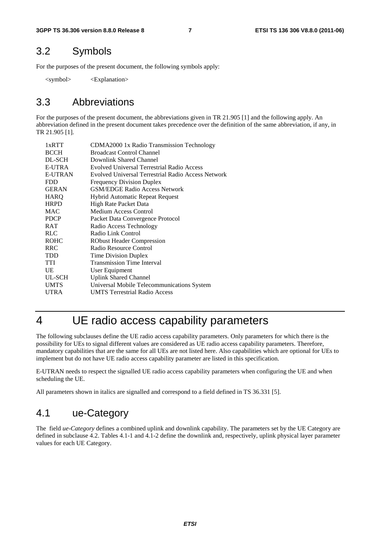### 3.2 Symbols

For the purposes of the present document, the following symbols apply:

<symbol> <Explanation>

# 3.3 Abbreviations

For the purposes of the present document, the abbreviations given in TR 21.905 [1] and the following apply. An abbreviation defined in the present document takes precedence over the definition of the same abbreviation, if any, in TR 21.905 [1].

| 1xRTT          | CDMA2000 1x Radio Transmission Technology          |
|----------------|----------------------------------------------------|
| <b>BCCH</b>    | <b>Broadcast Control Channel</b>                   |
| DL-SCH         | Downlink Shared Channel                            |
| <b>E-UTRA</b>  | Evolved Universal Terrestrial Radio Access         |
| <b>E-UTRAN</b> | Evolved Universal Terrestrial Radio Access Network |
| FDD            | <b>Frequency Division Duplex</b>                   |
| <b>GERAN</b>   | <b>GSM/EDGE Radio Access Network</b>               |
| <b>HARO</b>    | Hybrid Automatic Repeat Request                    |
| <b>HRPD</b>    | High Rate Packet Data                              |
| MAC            | Medium Access Control                              |
| <b>PDCP</b>    | Packet Data Convergence Protocol                   |
| <b>RAT</b>     | Radio Access Technology                            |
| <b>RLC</b>     | Radio Link Control                                 |
| <b>ROHC</b>    | <b>RObust Header Compression</b>                   |
| <b>RRC</b>     | Radio Resource Control                             |
| TDD            | <b>Time Division Duplex</b>                        |
| <b>TTI</b>     | <b>Transmission Time Interval</b>                  |
| UE             | User Equipment                                     |
| UL-SCH         | <b>Uplink Shared Channel</b>                       |
| <b>UMTS</b>    | Universal Mobile Telecommunications System         |
| <b>UTRA</b>    | <b>UMTS</b> Terrestrial Radio Access               |
|                |                                                    |

# 4 UE radio access capability parameters

The following subclauses define the UE radio access capability parameters. Only parameters for which there is the possibility for UEs to signal different values are considered as UE radio access capability parameters. Therefore, mandatory capabilities that are the same for all UEs are not listed here. Also capabilities which are optional for UEs to implement but do not have UE radio access capability parameter are listed in this specification.

E-UTRAN needs to respect the signalled UE radio access capability parameters when configuring the UE and when scheduling the UE.

All parameters shown in italics are signalled and correspond to a field defined in TS 36.331 [5].

# 4.1 ue-Category

The field *ue-Category* defines a combined uplink and downlink capability. The parameters set by the UE Category are defined in subclause 4.2. Tables 4.1-1 and 4.1-2 define the downlink and, respectively, uplink physical layer parameter values for each UE Category.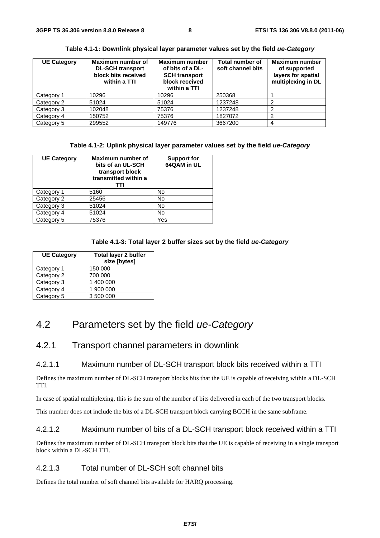| <b>UE Category</b> | Maximum number of<br><b>DL-SCH transport</b><br>block bits received<br>within a TTI | <b>Maximum number</b><br>of bits of a DL-<br><b>SCH transport</b><br>block received<br>within a TTI | Total number of<br>soft channel bits | <b>Maximum number</b><br>of supported<br>layers for spatial<br>multiplexing in DL |
|--------------------|-------------------------------------------------------------------------------------|-----------------------------------------------------------------------------------------------------|--------------------------------------|-----------------------------------------------------------------------------------|
| Category 1         | 10296                                                                               | 10296                                                                                               | 250368                               |                                                                                   |
| Category 2         | 51024                                                                               | 51024                                                                                               | 1237248                              |                                                                                   |
| Category 3         | 102048                                                                              | 75376                                                                                               | 1237248                              | ⌒                                                                                 |
| Category 4         | 150752                                                                              | 75376                                                                                               | 1827072                              | ⌒                                                                                 |
| Category 5         | 299552                                                                              | 149776                                                                                              | 3667200                              |                                                                                   |

#### **Table 4.1-1: Downlink physical layer parameter values set by the field** *ue-Category*

#### **Table 4.1-2: Uplink physical layer parameter values set by the field** *ue-Category*

| <b>UE Category</b> | <b>Maximum number of</b><br>bits of an UL-SCH<br>transport block<br>transmitted within a<br>ттı | <b>Support for</b><br>64QAM in UL |
|--------------------|-------------------------------------------------------------------------------------------------|-----------------------------------|
| Category 1         | 5160                                                                                            | No                                |
| Category 2         | 25456                                                                                           | No                                |
| Category 3         | 51024                                                                                           | No                                |
| Category 4         | 51024                                                                                           | No                                |
| Category 5         | 75376                                                                                           | Yes                               |

#### **Table 4.1-3: Total layer 2 buffer sizes set by the field** *ue-Category*

| <b>UE Category</b> | <b>Total layer 2 buffer</b><br>size [bytes] |
|--------------------|---------------------------------------------|
| Category 1         | 150 000                                     |
| Category 2         | 700 000                                     |
| Category 3         | 1 400 000                                   |
| Category 4         | 1 900 000                                   |
| Category 5         | 3 500 000                                   |

# 4.2 Parameters set by the field *ue-Category*

### 4.2.1 Transport channel parameters in downlink

#### 4.2.1.1 Maximum number of DL-SCH transport block bits received within a TTI

Defines the maximum number of DL-SCH transport blocks bits that the UE is capable of receiving within a DL-SCH TTI.

In case of spatial multiplexing, this is the sum of the number of bits delivered in each of the two transport blocks.

This number does not include the bits of a DL-SCH transport block carrying BCCH in the same subframe.

#### 4.2.1.2 Maximum number of bits of a DL-SCH transport block received within a TTI

Defines the maximum number of DL-SCH transport block bits that the UE is capable of receiving in a single transport block within a DL-SCH TTI.

#### 4.2.1.3 Total number of DL-SCH soft channel bits

Defines the total number of soft channel bits available for HARQ processing.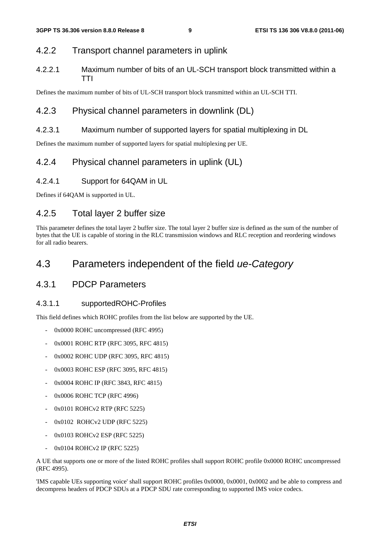### 4.2.2 Transport channel parameters in uplink

4.2.2.1 Maximum number of bits of an UL-SCH transport block transmitted within a TTI

Defines the maximum number of bits of UL-SCH transport block transmitted within an UL-SCH TTI.

### 4.2.3 Physical channel parameters in downlink (DL)

#### 4.2.3.1 Maximum number of supported layers for spatial multiplexing in DL

Defines the maximum number of supported layers for spatial multiplexing per UE.

### 4.2.4 Physical channel parameters in uplink (UL)

#### 4.2.4.1 Support for 64QAM in UL

Defines if 64QAM is supported in UL.

### 4.2.5 Total layer 2 buffer size

This parameter defines the total layer 2 buffer size. The total layer 2 buffer size is defined as the sum of the number of bytes that the UE is capable of storing in the RLC transmission windows and RLC reception and reordering windows for all radio bearers.

# 4.3 Parameters independent of the field *ue-Category*

### 4.3.1 PDCP Parameters

#### 4.3.1.1 supportedROHC-Profiles

This field defines which ROHC profiles from the list below are supported by the UE.

- 0x0000 ROHC uncompressed (RFC 4995)
- 0x0001 ROHC RTP (RFC 3095, RFC 4815)
- 0x0002 ROHC UDP (RFC 3095, RFC 4815)
- 0x0003 ROHC ESP (RFC 3095, RFC 4815)
- 0x0004 ROHC IP (RFC 3843, RFC 4815)
- 0x0006 ROHC TCP (RFC 4996)
- 0x0101 ROHCv2 RTP (RFC 5225)
- 0x0102 ROHCv2 UDP (RFC 5225)
- 0x0103 ROHCv2 ESP (RFC 5225)
- 0x0104 ROHCv2 IP (RFC 5225)

A UE that supports one or more of the listed ROHC profiles shall support ROHC profile 0x0000 ROHC uncompressed (RFC 4995).

'IMS capable UEs supporting voice' shall support ROHC profiles 0x0000, 0x0001, 0x0002 and be able to compress and decompress headers of PDCP SDUs at a PDCP SDU rate corresponding to supported IMS voice codecs.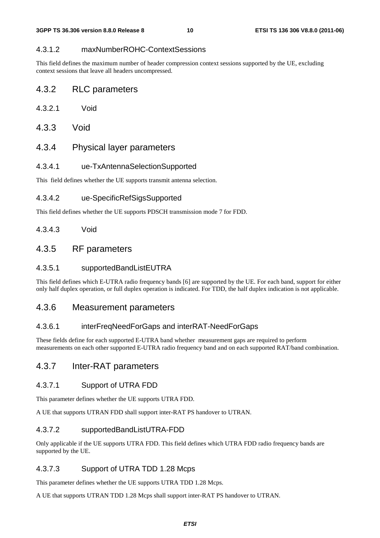#### 4.3.1.2 maxNumberROHC-ContextSessions

This field defines the maximum number of header compression context sessions supported by the UE, excluding context sessions that leave all headers uncompressed.

### 4.3.2 RLC parameters

| 4.3.2.1 | Void |
|---------|------|
|---------|------|

4.3.3 Void

### 4.3.4 Physical layer parameters

#### 4.3.4.1 ue-TxAntennaSelectionSupported

This field defines whether the UE supports transmit antenna selection.

#### 4.3.4.2 ue-SpecificRefSigsSupported

This field defines whether the UE supports PDSCH transmission mode 7 for FDD.

#### 4.3.4.3 Void

### 4.3.5 RF parameters

#### 4.3.5.1 supportedBandListEUTRA

This field defines which E-UTRA radio frequency bands [6] are supported by the UE. For each band, support for either only half duplex operation, or full duplex operation is indicated. For TDD, the half duplex indication is not applicable.

#### 4.3.6 Measurement parameters

#### 4.3.6.1 interFreqNeedForGaps and interRAT-NeedForGaps

These fields define for each supported E-UTRA band whether measurement gaps are required to perform measurements on each other supported E-UTRA radio frequency band and on each supported RAT/band combination.

### 4.3.7 Inter-RAT parameters

#### 4.3.7.1 Support of UTRA FDD

This parameter defines whether the UE supports UTRA FDD.

A UE that supports UTRAN FDD shall support inter-RAT PS handover to UTRAN.

#### 4.3.7.2 supportedBandListUTRA-FDD

Only applicable if the UE supports UTRA FDD. This field defines which UTRA FDD radio frequency bands are supported by the UE.

#### 4.3.7.3 Support of UTRA TDD 1.28 Mcps

This parameter defines whether the UE supports UTRA TDD 1.28 Mcps.

A UE that supports UTRAN TDD 1.28 Mcps shall support inter-RAT PS handover to UTRAN.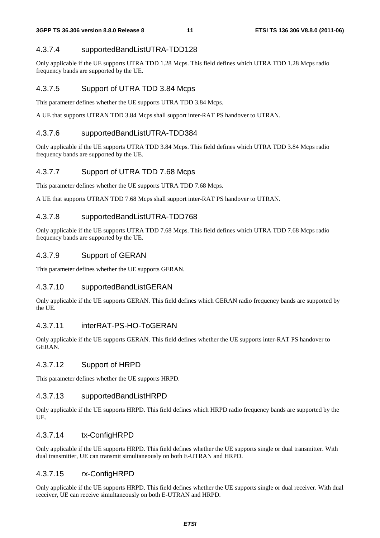#### 4.3.7.4 supportedBandListUTRA-TDD128

Only applicable if the UE supports UTRA TDD 1.28 Mcps. This field defines which UTRA TDD 1.28 Mcps radio frequency bands are supported by the UE.

#### 4.3.7.5 Support of UTRA TDD 3.84 Mcps

This parameter defines whether the UE supports UTRA TDD 3.84 Mcps.

A UE that supports UTRAN TDD 3.84 Mcps shall support inter-RAT PS handover to UTRAN.

#### 4.3.7.6 supportedBandListUTRA-TDD384

Only applicable if the UE supports UTRA TDD 3.84 Mcps. This field defines which UTRA TDD 3.84 Mcps radio frequency bands are supported by the UE.

#### 4.3.7.7 Support of UTRA TDD 7.68 Mcps

This parameter defines whether the UE supports UTRA TDD 7.68 Mcps.

A UE that supports UTRAN TDD 7.68 Mcps shall support inter-RAT PS handover to UTRAN.

#### 4.3.7.8 supportedBandListUTRA-TDD768

Only applicable if the UE supports UTRA TDD 7.68 Mcps. This field defines which UTRA TDD 7.68 Mcps radio frequency bands are supported by the UE.

#### 4.3.7.9 Support of GERAN

This parameter defines whether the UE supports GERAN.

#### 4.3.7.10 supportedBandListGERAN

Only applicable if the UE supports GERAN. This field defines which GERAN radio frequency bands are supported by the UE.

#### 4.3.7.11 interRAT-PS-HO-ToGERAN

Only applicable if the UE supports GERAN. This field defines whether the UE supports inter-RAT PS handover to GERAN.

#### 4.3.7.12 Support of HRPD

This parameter defines whether the UE supports HRPD.

#### 4.3.7.13 supportedBandListHRPD

Only applicable if the UE supports HRPD. This field defines which HRPD radio frequency bands are supported by the UE.

#### 4.3.7.14 tx-ConfigHRPD

Only applicable if the UE supports HRPD. This field defines whether the UE supports single or dual transmitter. With dual transmitter, UE can transmit simultaneously on both E-UTRAN and HRPD.

#### 4.3.7.15 rx-ConfigHRPD

Only applicable if the UE supports HRPD. This field defines whether the UE supports single or dual receiver. With dual receiver, UE can receive simultaneously on both E-UTRAN and HRPD.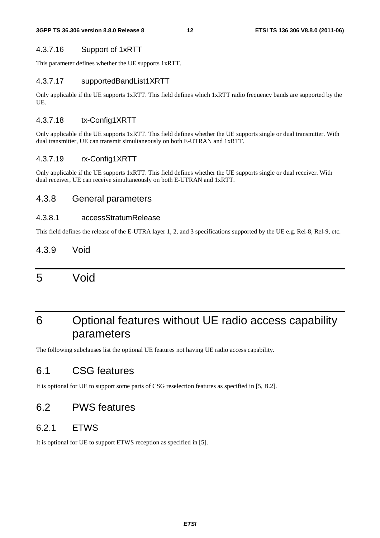#### 4.3.7.16 Support of 1xRTT

This parameter defines whether the UE supports 1xRTT.

#### 4.3.7.17 supportedBandList1XRTT

Only applicable if the UE supports 1xRTT. This field defines which 1xRTT radio frequency bands are supported by the UE.

#### 4.3.7.18 tx-Config1XRTT

Only applicable if the UE supports 1xRTT. This field defines whether the UE supports single or dual transmitter. With dual transmitter, UE can transmit simultaneously on both E-UTRAN and 1xRTT.

#### 4.3.7.19 rx-Config1XRTT

Only applicable if the UE supports 1xRTT. This field defines whether the UE supports single or dual receiver. With dual receiver, UE can receive simultaneously on both E-UTRAN and 1xRTT.

#### 4.3.8 General parameters

#### 4.3.8.1 accessStratumRelease

This field defines the release of the E-UTRA layer 1, 2, and 3 specifications supported by the UE e.g. Rel-8, Rel-9, etc.

## 4.3.9 Void

# 5 Void

# 6 Optional features without UE radio access capability parameters

The following subclauses list the optional UE features not having UE radio access capability.

# 6.1 CSG features

It is optional for UE to support some parts of CSG reselection features as specified in [5, B.2].

# 6.2 PWS features

### 6.2.1 ETWS

It is optional for UE to support ETWS reception as specified in [5].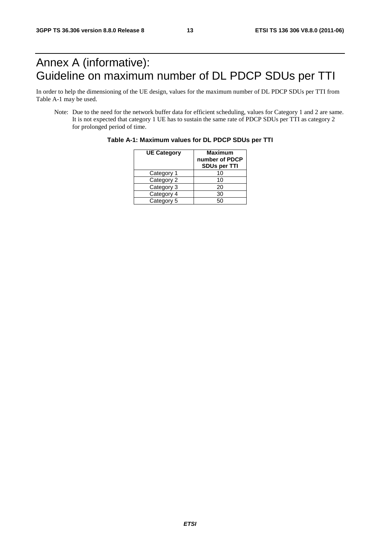# Annex A (informative): Guideline on maximum number of DL PDCP SDUs per TTI

In order to help the dimensioning of the UE design, values for the maximum number of DL PDCP SDUs per TTI from Table A-1 may be used.

Note: Due to the need for the network buffer data for efficient scheduling, values for Category 1 and 2 are same. It is not expected that category 1 UE has to sustain the same rate of PDCP SDUs per TTI as category 2 for prolonged period of time.

| <b>UE Category</b> | <b>Maximum</b><br>number of PDCP<br>SDUs per TTI |
|--------------------|--------------------------------------------------|
| Category 1         | 10                                               |
| Category 2         | 10                                               |
| Category 3         | 20                                               |
| Category 4         | 30                                               |
| Category 5         | 50                                               |

**Table A-1: Maximum values for DL PDCP SDUs per TTI**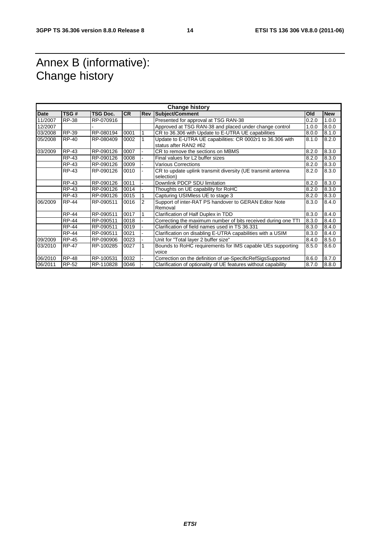# Annex B (informative): Change history

| <b>Change history</b> |              |           |           |            |                                                                                     |       |            |
|-----------------------|--------------|-----------|-----------|------------|-------------------------------------------------------------------------------------|-------|------------|
| <b>Date</b>           | TSG#         | TSG Doc.  | <b>CR</b> | <b>Rev</b> | Subject/Comment                                                                     | Old   | <b>New</b> |
| 11/2007               | <b>RP-38</b> | RP-070916 |           |            | Presented for approval at TSG RAN-38                                                | 0.2.0 | 1.0.0      |
| 12/2007               |              |           |           |            | Approved at TSG RAN-38 and placed under change control                              | 1.0.0 | 8.0.0      |
| 03/2008               | RP-39        | RP-080194 | 0001      | 1          | CR to 36.306 with Update to E-UTRA UE capabilities                                  | 8.0.0 | 8.1.0      |
| 05/2008               | RP-40        | RP-080409 | 0002      |            | Update to E-UTRA UE capabilities: CR 0002r1 to 36.306 with<br>status after RAN2 #62 | 8.1.0 | 8.2.0      |
| 03/2009               | <b>RP-43</b> | RP-090126 | 0007      |            | CR to remove the sections on MBMS                                                   | 8.2.0 | 8.3.0      |
|                       | <b>RP-43</b> | RP-090126 | 0008      |            | Final values for L2 buffer sizes                                                    | 8.2.0 | 8.3.0      |
|                       | <b>RP-43</b> | RP-090126 | 0009      |            | <b>Various Corrections</b>                                                          | 8.2.0 | 8.3.0      |
|                       | RP-43        | RP-090126 | 0010      |            | CR to update uplink transmit diversity (UE transmit antenna                         | 8.2.0 | 8.3.0      |
|                       |              |           |           |            | selection)                                                                          |       |            |
|                       | <b>RP-43</b> | RP-090126 | 0011      |            | Downlink PDCP SDU limitation                                                        | 8.2.0 | 8.3.0      |
|                       | RP-43        | RP-090126 | 0014      |            | Thoughts on UE capability for RoHC                                                  | 8.2.0 | 8.3.0      |
|                       | <b>RP-43</b> | RP-090126 | 0015      |            | Capturing USIMIess UE to stage 3                                                    | 8.2.0 | 8.3.0      |
| 06/2009               | <b>RP-44</b> | RP-090511 | 0016      | 2          | Support of inter-RAT PS handover to GERAN Editor Note<br>Removal                    | 8.3.0 | 8.4.0      |
|                       | <b>RP-44</b> | RP-090511 | 0017      |            | Clarification of Half Duplex in TDD                                                 | 8.3.0 | 8.4.0      |
|                       | <b>RP-44</b> | RP-090511 | 0018      |            | Correcting the maximum number of bits received during one TTI                       | 8.3.0 | 8.4.0      |
|                       | <b>RP-44</b> | RP-090511 | 0019      |            | Clarification of field names used in TS 36.331                                      | 8.3.0 | 8.4.0      |
|                       | <b>RP-44</b> | RP-090511 | 0021      |            | Clarification on disabling E-UTRA capabilities with a USIM                          | 8.3.0 | 8.4.0      |
| 09/2009               | <b>RP-45</b> | RP-090906 | 0023      |            | Unit for "Total layer 2 buffer size"                                                | 8.4.0 | 8.5.0      |
| 03/2010               | <b>RP-47</b> | RP-100285 | 0027      |            | Bounds to RoHC requirements for IMS capable UEs supporting<br>voice                 | 8.5.0 | 8.6.0      |
| 06/2010               | <b>RP-48</b> | RP-100531 | 0032      |            | Correction on the definition of ue-SpecificRefSigsSupported                         | 8.6.0 | 8.7.0      |
| 06/2011               | RP-52        | RP-110828 | 0046      |            | Clarification of optionality of UE features without capability                      | 8.7.0 | 8.8.0      |